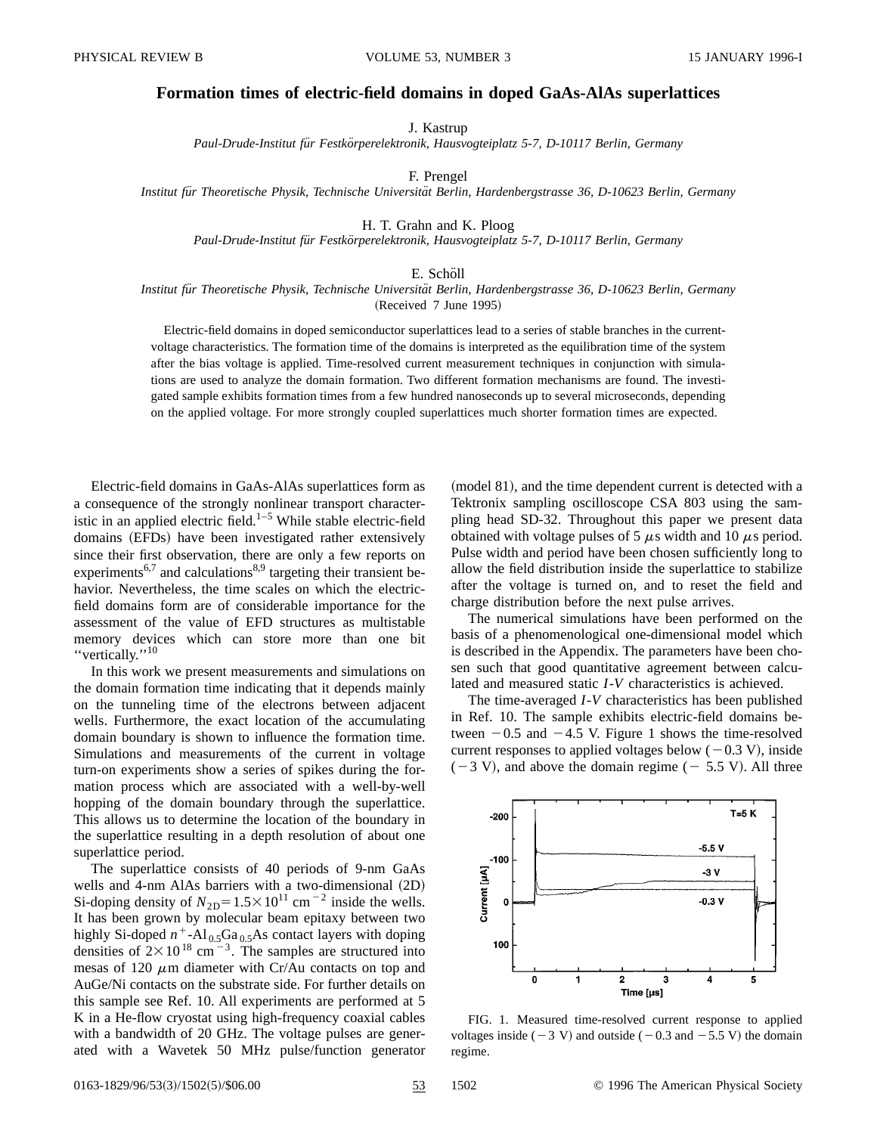## **Formation times of electric-field domains in doped GaAs-AlAs superlattices**

J. Kastrup

*Paul-Drude-Institut fu¨r Festko¨rperelektronik, Hausvogteiplatz 5-7, D-10117 Berlin, Germany*

F. Prengel

*Institut fu¨r Theoretische Physik, Technische Universita¨t Berlin, Hardenbergstrasse 36, D-10623 Berlin, Germany*

H. T. Grahn and K. Ploog

*Paul-Drude-Institut fu¨r Festko¨rperelektronik, Hausvogteiplatz 5-7, D-10117 Berlin, Germany*

## E. Schöll

## *Institut fu¨r Theoretische Physik, Technische Universita¨t Berlin, Hardenbergstrasse 36, D-10623 Berlin, Germany* (Received 7 June 1995)

Electric-field domains in doped semiconductor superlattices lead to a series of stable branches in the currentvoltage characteristics. The formation time of the domains is interpreted as the equilibration time of the system after the bias voltage is applied. Time-resolved current measurement techniques in conjunction with simulations are used to analyze the domain formation. Two different formation mechanisms are found. The investigated sample exhibits formation times from a few hundred nanoseconds up to several microseconds, depending on the applied voltage. For more strongly coupled superlattices much shorter formation times are expected.

Electric-field domains in GaAs-AlAs superlattices form as a consequence of the strongly nonlinear transport characteristic in an applied electric field.<sup>1–5</sup> While stable electric-field domains (EFDs) have been investigated rather extensively since their first observation, there are only a few reports on experiments<sup>6,7</sup> and calculations<sup>8,9</sup> targeting their transient behavior. Nevertheless, the time scales on which the electricfield domains form are of considerable importance for the assessment of the value of EFD structures as multistable memory devices which can store more than one bit "vertically."<sup>10</sup>

In this work we present measurements and simulations on the domain formation time indicating that it depends mainly on the tunneling time of the electrons between adjacent wells. Furthermore, the exact location of the accumulating domain boundary is shown to influence the formation time. Simulations and measurements of the current in voltage turn-on experiments show a series of spikes during the formation process which are associated with a well-by-well hopping of the domain boundary through the superlattice. This allows us to determine the location of the boundary in the superlattice resulting in a depth resolution of about one superlattice period.

The superlattice consists of 40 periods of 9-nm GaAs wells and 4-nm AlAs barriers with a two-dimensional (2D) Si-doping density of  $N_{2D}$ =1.5×10<sup>11</sup> cm<sup>-2</sup> inside the wells. It has been grown by molecular beam epitaxy between two highly Si-doped  $n^+$ -Al<sub>0.5</sub>Ga<sub>0.5</sub>As contact layers with doping densities of  $2 \times 10^{18}$  cm<sup>-3</sup>. The samples are structured into mesas of 120  $\mu$ m diameter with Cr/Au contacts on top and AuGe/Ni contacts on the substrate side. For further details on this sample see Ref. 10. All experiments are performed at 5 K in a He-flow cryostat using high-frequency coaxial cables with a bandwidth of 20 GHz. The voltage pulses are generated with a Wavetek 50 MHz pulse/function generator

(model 81), and the time dependent current is detected with a Tektronix sampling oscilloscope CSA 803 using the sampling head SD-32. Throughout this paper we present data obtained with voltage pulses of 5  $\mu$ s width and 10  $\mu$ s period. Pulse width and period have been chosen sufficiently long to allow the field distribution inside the superlattice to stabilize after the voltage is turned on, and to reset the field and charge distribution before the next pulse arrives.

The numerical simulations have been performed on the basis of a phenomenological one-dimensional model which is described in the Appendix. The parameters have been chosen such that good quantitative agreement between calculated and measured static *I*-*V* characteristics is achieved.

The time-averaged *I*-*V* characteristics has been published in Ref. 10. The sample exhibits electric-field domains between  $-0.5$  and  $-4.5$  V. Figure 1 shows the time-resolved current responses to applied voltages below  $(-0.3 \text{ V})$ , inside  $(-3 V)$ , and above the domain regime  $(-5.5 V)$ . All three



FIG. 1. Measured time-resolved current response to applied voltages inside ( $-3$  V) and outside ( $-0.3$  and  $-5.5$  V) the domain regime.

0163-1829/96/53(3)/1502(5)/\$06.00 53 1502 © 1996 The American Physical Society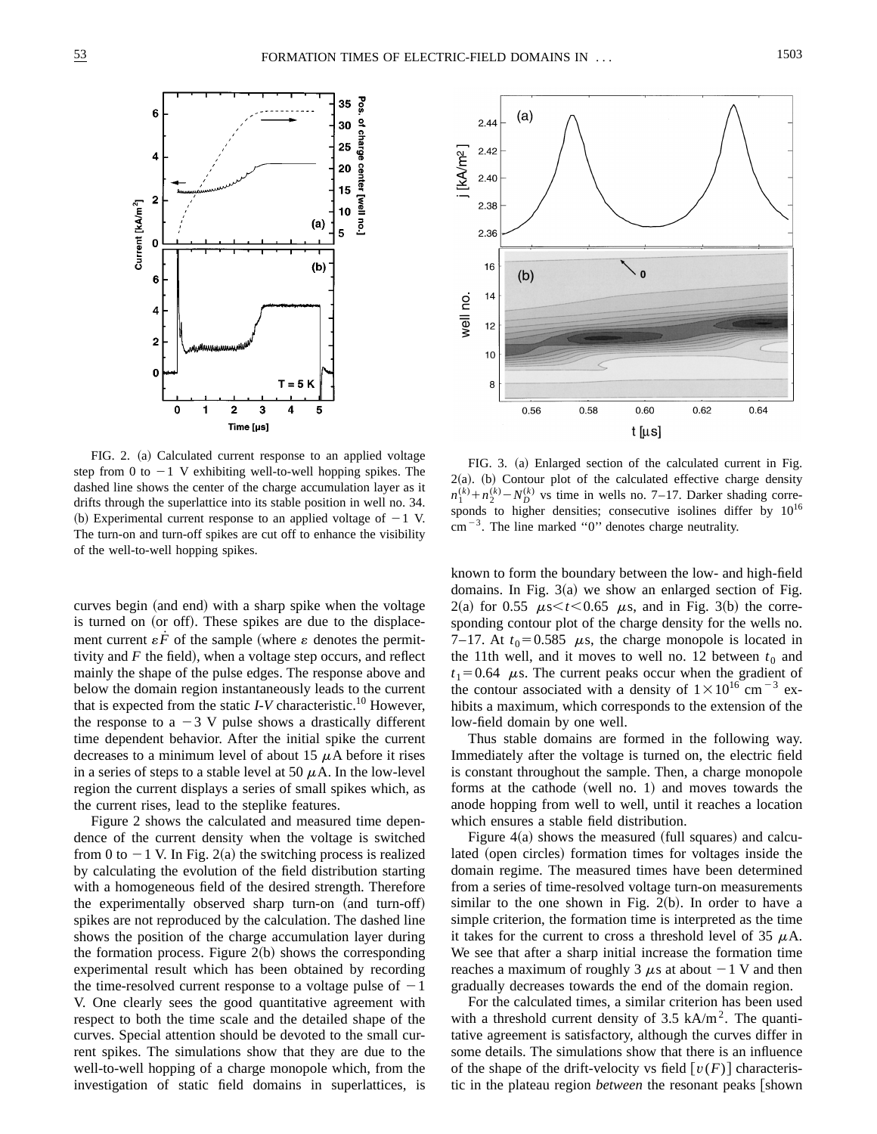

FIG. 2. (a) Calculated current response to an applied voltage step from 0 to  $-1$  V exhibiting well-to-well hopping spikes. The dashed line shows the center of the charge accumulation layer as it drifts through the superlattice into its stable position in well no. 34. (b) Experimental current response to an applied voltage of  $-1$  V. The turn-on and turn-off spikes are cut off to enhance the visibility of the well-to-well hopping spikes.

curves begin (and end) with a sharp spike when the voltage is turned on (or off). These spikes are due to the displacement current  $\epsilon \vec{F}$  of the sample (where  $\epsilon$  denotes the permittivity and  $F$  the field), when a voltage step occurs, and reflect mainly the shape of the pulse edges. The response above and below the domain region instantaneously leads to the current that is expected from the static  $I-V$  characteristic.<sup>10</sup> However, the response to a  $-3$  V pulse shows a drastically different time dependent behavior. After the initial spike the current decreases to a minimum level of about 15  $\mu$ A before it rises in a series of steps to a stable level at 50  $\mu$ A. In the low-level region the current displays a series of small spikes which, as the current rises, lead to the steplike features.

Figure 2 shows the calculated and measured time dependence of the current density when the voltage is switched from 0 to  $-1$  V. In Fig. 2(a) the switching process is realized by calculating the evolution of the field distribution starting with a homogeneous field of the desired strength. Therefore the experimentally observed sharp turn-on (and turn-off) spikes are not reproduced by the calculation. The dashed line shows the position of the charge accumulation layer during the formation process. Figure  $2(b)$  shows the corresponding experimental result which has been obtained by recording the time-resolved current response to a voltage pulse of  $-1$ V. One clearly sees the good quantitative agreement with respect to both the time scale and the detailed shape of the curves. Special attention should be devoted to the small current spikes. The simulations show that they are due to the well-to-well hopping of a charge monopole which, from the investigation of static field domains in superlattices, is



FIG. 3. (a) Enlarged section of the calculated current in Fig.  $2(a)$ . (b) Contour plot of the calculated effective charge density  $n_1^{(k)} + n_2^{(k)} - N_D^{(k)}$  vs time in wells no. 7–17. Darker shading corresponds to higher densities; consecutive isolines differ by  $10^{16}$  $cm^{-3}$ . The line marked "0" denotes charge neutrality.

known to form the boundary between the low- and high-field domains. In Fig.  $3(a)$  we show an enlarged section of Fig.  $2(a)$  for 0.55  $\mu$ s < *t* < 0.65  $\mu$ s, and in Fig. 3(b) the corresponding contour plot of the charge density for the wells no. 7–17. At  $t_0$ =0.585  $\mu$ s, the charge monopole is located in the 11th well, and it moves to well no. 12 between  $t_0$  and  $t_1=0.64$   $\mu$ s. The current peaks occur when the gradient of the contour associated with a density of  $1\times10^{16}$  cm<sup>-3</sup> exhibits a maximum, which corresponds to the extension of the low-field domain by one well.

Thus stable domains are formed in the following way. Immediately after the voltage is turned on, the electric field is constant throughout the sample. Then, a charge monopole forms at the cathode (well no. 1) and moves towards the anode hopping from well to well, until it reaches a location which ensures a stable field distribution.

Figure  $4(a)$  shows the measured (full squares) and calculated (open circles) formation times for voltages inside the domain regime. The measured times have been determined from a series of time-resolved voltage turn-on measurements similar to the one shown in Fig.  $2(b)$ . In order to have a simple criterion, the formation time is interpreted as the time it takes for the current to cross a threshold level of 35  $\mu$ A. We see that after a sharp initial increase the formation time reaches a maximum of roughly 3  $\mu$ s at about  $-1$  V and then gradually decreases towards the end of the domain region.

For the calculated times, a similar criterion has been used with a threshold current density of  $3.5 \text{ kA/m}^2$ . The quantitative agreement is satisfactory, although the curves differ in some details. The simulations show that there is an influence of the shape of the drift-velocity vs field  $\lceil v(F) \rceil$  characteristic in the plateau region *between* the resonant peaks [shown]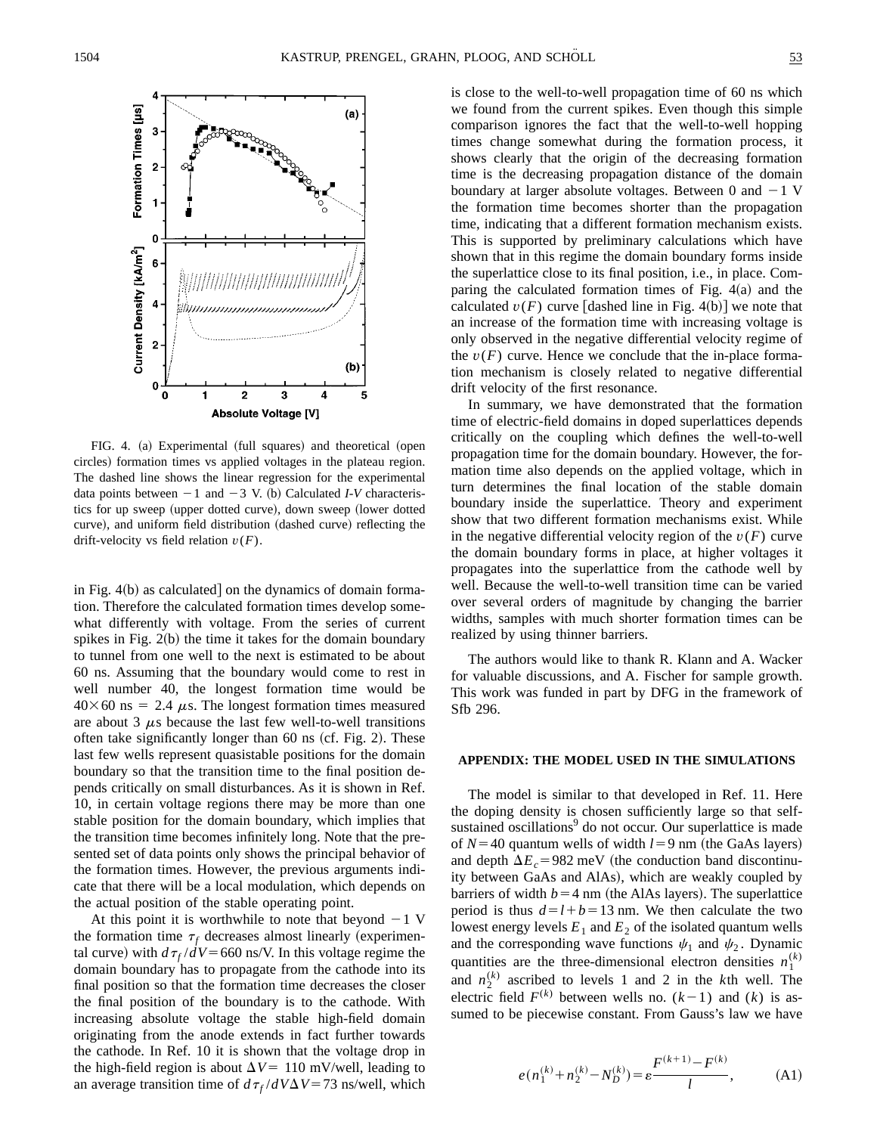

FIG. 4. (a) Experimental (full squares) and theoretical (open circles) formation times vs applied voltages in the plateau region. The dashed line shows the linear regression for the experimental data points between  $-1$  and  $-3$  V. (b) Calculated *I-V* characteristics for up sweep (upper dotted curve), down sweep (lower dotted curve), and uniform field distribution (dashed curve) reflecting the drift-velocity vs field relation *v*(*F*).

in Fig.  $4(b)$  as calculated] on the dynamics of domain formation. Therefore the calculated formation times develop somewhat differently with voltage. From the series of current spikes in Fig.  $2(b)$  the time it takes for the domain boundary to tunnel from one well to the next is estimated to be about 60 ns. Assuming that the boundary would come to rest in well number 40, the longest formation time would be  $40\times60$  ns = 2.4  $\mu$ s. The longest formation times measured are about 3  $\mu$ s because the last few well-to-well transitions often take significantly longer than  $60$  ns (cf. Fig. 2). These last few wells represent quasistable positions for the domain boundary so that the transition time to the final position depends critically on small disturbances. As it is shown in Ref. 10, in certain voltage regions there may be more than one stable position for the domain boundary, which implies that the transition time becomes infinitely long. Note that the presented set of data points only shows the principal behavior of the formation times. However, the previous arguments indicate that there will be a local modulation, which depends on the actual position of the stable operating point.

At this point it is worthwhile to note that beyond  $-1$  V the formation time  $\tau_f$  decreases almost linearly (experimental curve) with  $d\tau_f/dV$ =660 ns/V. In this voltage regime the domain boundary has to propagate from the cathode into its final position so that the formation time decreases the closer the final position of the boundary is to the cathode. With increasing absolute voltage the stable high-field domain originating from the anode extends in fact further towards the cathode. In Ref. 10 it is shown that the voltage drop in the high-field region is about  $\Delta V = 110$  mV/well, leading to an average transition time of  $d\tau_f/dV\Delta V = 73$  ns/well, which is close to the well-to-well propagation time of 60 ns which we found from the current spikes. Even though this simple comparison ignores the fact that the well-to-well hopping times change somewhat during the formation process, it shows clearly that the origin of the decreasing formation time is the decreasing propagation distance of the domain boundary at larger absolute voltages. Between 0 and  $-1$  V the formation time becomes shorter than the propagation time, indicating that a different formation mechanism exists. This is supported by preliminary calculations which have shown that in this regime the domain boundary forms inside the superlattice close to its final position, i.e., in place. Comparing the calculated formation times of Fig.  $4(a)$  and the calculated  $v(F)$  curve [dashed line in Fig. 4(b)] we note that an increase of the formation time with increasing voltage is only observed in the negative differential velocity regime of the  $v(F)$  curve. Hence we conclude that the in-place formation mechanism is closely related to negative differential drift velocity of the first resonance.

In summary, we have demonstrated that the formation time of electric-field domains in doped superlattices depends critically on the coupling which defines the well-to-well propagation time for the domain boundary. However, the formation time also depends on the applied voltage, which in turn determines the final location of the stable domain boundary inside the superlattice. Theory and experiment show that two different formation mechanisms exist. While in the negative differential velocity region of the  $v(F)$  curve the domain boundary forms in place, at higher voltages it propagates into the superlattice from the cathode well by well. Because the well-to-well transition time can be varied over several orders of magnitude by changing the barrier widths, samples with much shorter formation times can be realized by using thinner barriers.

The authors would like to thank R. Klann and A. Wacker for valuable discussions, and A. Fischer for sample growth. This work was funded in part by DFG in the framework of Sfb 296.

## **APPENDIX: THE MODEL USED IN THE SIMULATIONS**

The model is similar to that developed in Ref. 11. Here the doping density is chosen sufficiently large so that selfsustained oscillations<sup>9</sup> do not occur. Our superlattice is made of  $N=40$  quantum wells of width  $l=9$  nm (the GaAs layers) and depth  $\Delta E_c$  = 982 meV (the conduction band discontinuity between GaAs and AlAs), which are weakly coupled by barriers of width  $b=4$  nm (the AlAs layers). The superlattice period is thus  $d=l+b=13$  nm. We then calculate the two lowest energy levels  $E_1$  and  $E_2$  of the isolated quantum wells and the corresponding wave functions  $\psi_1$  and  $\psi_2$ . Dynamic quantities are the three-dimensional electron densities  $n_1^{(k)}$ and  $n_2^{(k)}$  ascribed to levels 1 and 2 in the *k*th well. The electric field  $F^{(k)}$  between wells no.  $(k-1)$  and  $(k)$  is assumed to be piecewise constant. From Gauss's law we have

$$
e(n_1^{(k)} + n_2^{(k)} - N_D^{(k)}) = \varepsilon \frac{F^{(k+1)} - F^{(k)}}{l}, \tag{A1}
$$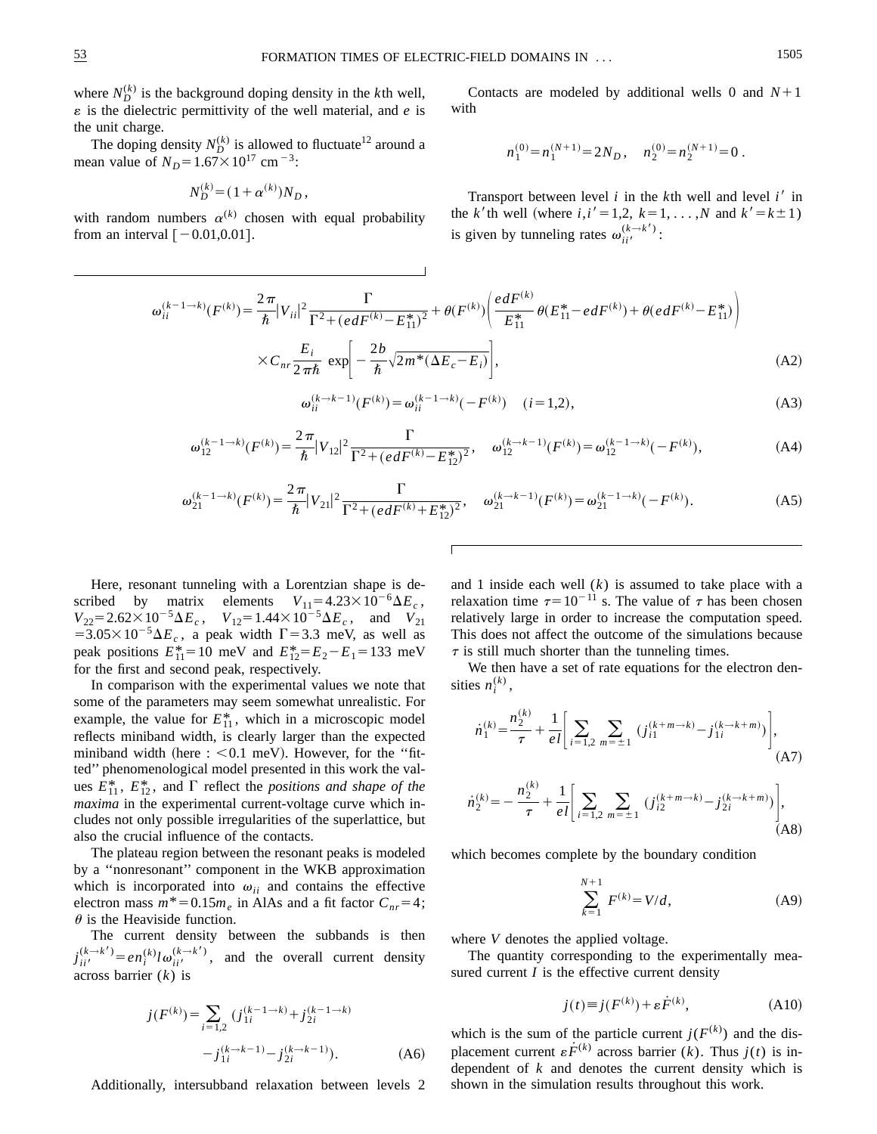where  $N_D^{(k)}$  is the background doping density in the *k*th well,  $\varepsilon$  is the dielectric permittivity of the well material, and  $e$  is the unit charge.

The doping density  $N_D^{(k)}$  is allowed to fluctuate<sup>12</sup> around a mean value of  $N_D = 1.67 \times 10^{17}$  cm<sup>-3</sup>:

$$
N_D^{(k)} = (1 + \alpha^{(k)}) N_D,
$$

with random numbers  $\alpha^{(k)}$  chosen with equal probability from an interval  $[-0.01,0.01]$ .

Contacts are modeled by additional wells 0 and  $N+1$ with

$$
n_1^{(0)} = n_1^{(N+1)} = 2N_D, \quad n_2^{(0)} = n_2^{(N+1)} = 0.
$$

Transport between level  $i$  in the  $k$ <sup>th</sup> well and level  $i'$  in the *k'*th well (where *i*,*i'* = 1,2, *k* = 1, . . . ,*N* and  $k' = k \pm 1$ ) is given by tunneling rates  $\omega_{ii'}^{(k \rightarrow k')}$ :

$$
\omega_{ii}^{(k-1 \to k)}(F^{(k)}) = \frac{2\pi}{\hbar} |V_{ii}|^2 \frac{\Gamma}{\Gamma^2 + (edF^{(k)} - E_{11}^*)^2} + \theta(F^{(k)}) \left(\frac{edF^{(k)}}{E_{11}^*} \theta(E_{11}^* - edF^{(k)}) + \theta(edF^{(k)} - E_{11}^*)\right)
$$
  
 
$$
\times C_{nr} \frac{E_i}{2\pi\hbar} \exp\left(-\frac{2b}{\hbar} \sqrt{2m^*(\Delta E_c - E_i)}\right),
$$
 (A2)

$$
\omega_{ii}^{(k \to k-1)}(F^{(k)}) = \omega_{ii}^{(k-1 \to k)}(-F^{(k)}) \quad (i=1,2),
$$
\n(A3)

$$
\omega_{12}^{(k-1 \to k)}(F^{(k)}) = \frac{2\pi}{\hbar} |V_{12}|^2 \frac{\Gamma}{\Gamma^2 + (edF^{(k)} - E_{12}^*)^2}, \quad \omega_{12}^{(k \to k-1)}(F^{(k)}) = \omega_{12}^{(k-1 \to k)}(-F^{(k)}),\tag{A4}
$$

$$
\omega_{21}^{(k-1 \to k)}(F^{(k)}) = \frac{2\pi}{\hbar} |V_{21}|^2 \frac{\Gamma}{\Gamma^2 + (edF^{(k)} + E_{12}^*)^2}, \quad \omega_{21}^{(k \to k-1)}(F^{(k)}) = \omega_{21}^{(k-1 \to k)}(-F^{(k)}).
$$
 (A5)

Here, resonant tunneling with a Lorentzian shape is described by matrix elements  $V_{11} = 4.23 \times 10^{-6} \Delta E_c$ ,  $V_{22} = 2.62 \times 10^{-5} \Delta E_c$ ,  $V_{12} = 1.44 \times 10^{-5} \Delta E_c$ , and  $V_{21}$  $=3.05\times10^{-5}\Delta E_c$ , a peak width  $\Gamma=3.3$  meV, as well as peak positions  $E_{11}^* = 10$  meV and  $E_{12}^* = E_2 - E_1 = 133$  meV for the first and second peak, respectively.

In comparison with the experimental values we note that some of the parameters may seem somewhat unrealistic. For example, the value for  $E_{11}^*$ , which in a microscopic model reflects miniband width, is clearly larger than the expected miniband width (here  $\div$  < 0.1 meV). However, for the "fitted'' phenomenological model presented in this work the values  $E_{11}^*$ ,  $E_{12}^*$ , and  $\Gamma$  reflect the *positions and shape of the maxima* in the experimental current-voltage curve which includes not only possible irregularities of the superlattice, but also the crucial influence of the contacts.

The plateau region between the resonant peaks is modeled by a ''nonresonant'' component in the WKB approximation which is incorporated into  $\omega_{ii}$  and contains the effective electron mass  $m^* = 0.15m_e$  in AlAs and a fit factor  $C_{nr} = 4$ ;  $\theta$  is the Heaviside function.

The current density between the subbands is then  $j_{ii'}^{(k \to k')} = en_i^{(k)} l \omega_{ii'}^{(k \to k')}$ , and the overall current density across barrier (*k*) is

$$
j(F^{(k)}) = \sum_{i=1,2} (j_{1i}^{(k-1 \to k)} + j_{2i}^{(k-1 \to k)}
$$

$$
-j_{1i}^{(k \to k-1)} - j_{2i}^{(k \to k-1)}.
$$
 (A6)

Additionally, intersubband relaxation between levels 2

and 1 inside each well (*k*) is assumed to take place with a relaxation time  $\tau=10^{-11}$  s. The value of  $\tau$  has been chosen relatively large in order to increase the computation speed. This does not affect the outcome of the simulations because  $\tau$  is still much shorter than the tunneling times.

We then have a set of rate equations for the electron densities  $n_i^{(k)}$ ,

$$
\dot{n}_1^{(k)} = \frac{n_2^{(k)}}{\tau} + \frac{1}{el} \left[ \sum_{i=1,2} \sum_{m=\pm 1} (j_{i1}^{(k+m \to k)} - j_{1i}^{(k \to k+m)}) \right],\tag{A7}
$$

$$
\dot{n}_2^{(k)} = -\frac{n_2^{(k)}}{\tau} + \frac{1}{el} \left[ \sum_{i=1,2} \sum_{m=\pm 1} (j_{i2}^{(k+m \to k)} - j_{2i}^{(k \to k+m)}) \right],
$$
\n(A8)

which becomes complete by the boundary condition

$$
\sum_{k=1}^{N+1} F^{(k)} = V/d,
$$
 (A9)

where *V* denotes the applied voltage.

The quantity corresponding to the experimentally measured current *I* is the effective current density

$$
j(t) \equiv j(F^{(k)}) + \varepsilon \dot{F}^{(k)}, \tag{A10}
$$

which is the sum of the particle current  $j(F^{(k)})$  and the displacement current  $\varepsilon \dot{F}^{(k)}$  across barrier (*k*). Thus  $j(t)$  is independent of *k* and denotes the current density which is shown in the simulation results throughout this work.